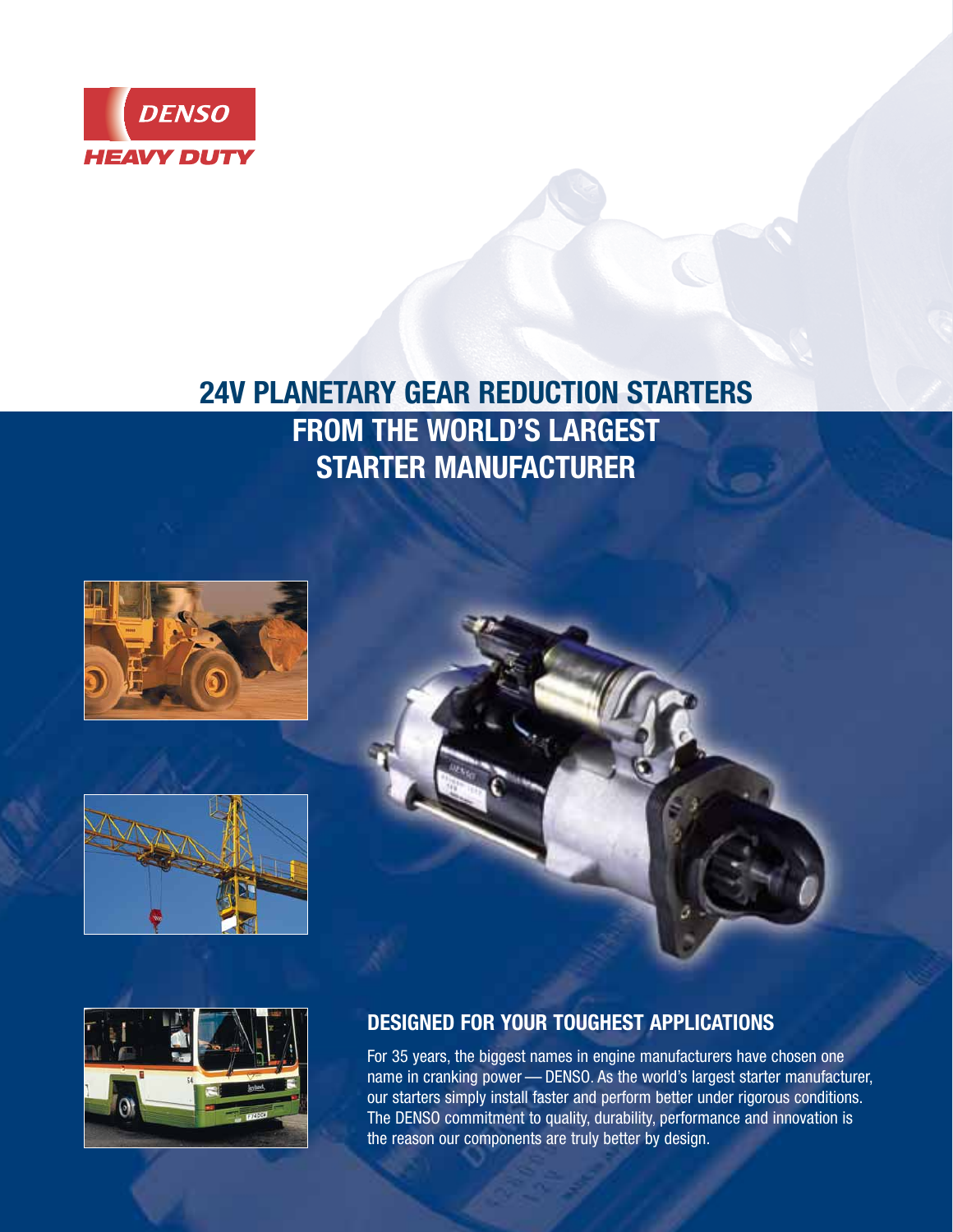

# **24V PLANETARY GEAR REDUCTION STARTERS FROM THE WORLD'S LARGEST STARTER MANUFACTURER**









## **DESIGNED FOR YOUR TOUGHEST APPLICATIONS**

For 35 years, the biggest names in engine manufacturers have chosen one name in cranking power — DENSO. As the world's largest starter manufacturer, our starters simply install faster and perform better under rigorous conditions. The DENSO commitment to quality, durability, performance and innovation is the reason our components are truly better by design.